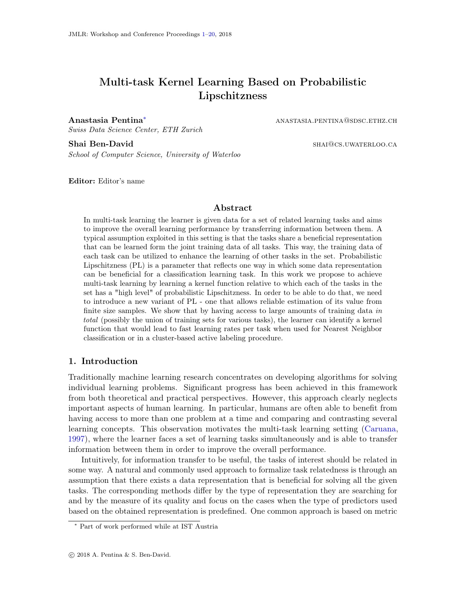# <span id="page-0-0"></span>Multi-task Kernel Learning Based on Probabilistic Lipschitzness

Anastasia Pentina<sup>\*</sup> anastasia.pentina®sdsc.ethz.ch

Swiss Data Science Center, ETH Zurich

Shai Ben-David share share share share share share share share share share share share share share share share share share share share share share share share share share share share share share share share share share sha

School of Computer Science, University of Waterloo

Editor: Editor's name

### Abstract

In multi-task learning the learner is given data for a set of related learning tasks and aims to improve the overall learning performance by transferring information between them. A typical assumption exploited in this setting is that the tasks share a beneficial representation that can be learned form the joint training data of all tasks. This way, the training data of each task can be utilized to enhance the learning of other tasks in the set. Probabilistic Lipschitzness (PL) is a parameter that reflects one way in which some data representation can be beneficial for a classification learning task. In this work we propose to achieve multi-task learning by learning a kernel function relative to which each of the tasks in the set has a "high level" of probabilistic Lipschitzness. In order to be able to do that, we need to introduce a new variant of PL - one that allows reliable estimation of its value from finite size samples. We show that by having access to large amounts of training data in total (possibly the union of training sets for various tasks), the learner can identify a kernel function that would lead to fast learning rates per task when used for Nearest Neighbor classification or in a cluster-based active labeling procedure.

# 1. Introduction

Traditionally machine learning research concentrates on developing algorithms for solving individual learning problems. Significant progress has been achieved in this framework from both theoretical and practical perspectives. However, this approach clearly neglects important aspects of human learning. In particular, humans are often able to benefit from having access to more than one problem at a time and comparing and contrasting several learning concepts. This observation motivates the multi-task learning setting [\(Caruana,](#page-12-0) [1997\)](#page-12-0), where the learner faces a set of learning tasks simultaneously and is able to transfer information between them in order to improve the overall performance.

Intuitively, for information transfer to be useful, the tasks of interest should be related in some way. A natural and commonly used approach to formalize task relatedness is through an assumption that there exists a data representation that is beneficial for solving all the given tasks. The corresponding methods differ by the type of representation they are searching for and by the measure of its quality and focus on the cases when the type of predictors used based on the obtained representation is predefined. One common approach is based on metric

<sup>∗</sup> Part of work performed while at IST Austria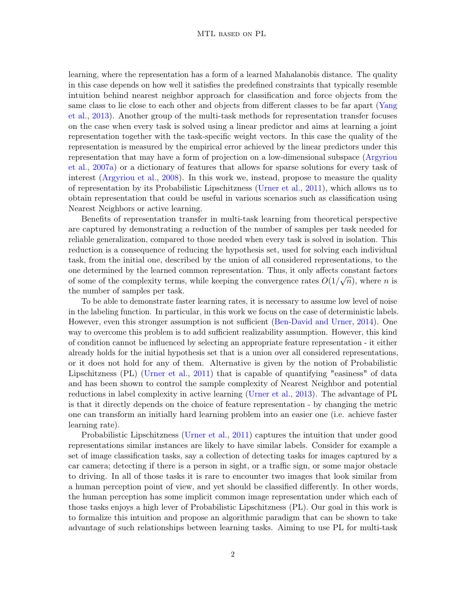learning, where the representation has a form of a learned Mahalanobis distance. The quality in this case depends on how well it satisfies the predefined constraints that typically resemble intuition behind nearest neighbor approach for classification and force objects from the same class to lie close to each other and objects from different classes to be far apart [\(Yang](#page-13-0) [et al.,](#page-13-0) [2013\)](#page-13-0). Another group of the multi-task methods for representation transfer focuses on the case when every task is solved using a linear predictor and aims at learning a joint representation together with the task-specific weight vectors. In this case the quality of the representation is measured by the empirical error achieved by the linear predictors under this representation that may have a form of projection on a low-dimensional subspace [\(Argyriou](#page-11-0) [et al.,](#page-11-0) [2007a\)](#page-11-0) or a dictionary of features that allows for sparse solutions for every task of interest [\(Argyriou et al.,](#page-11-1) [2008\)](#page-11-1). In this work we, instead, propose to measure the quality of representation by its Probabilistic Lipschitzness [\(Urner et al.,](#page-12-1) [2011\)](#page-12-1), which allows us to obtain representation that could be useful in various scenarios such as classification using Nearest Neighbors or active learning.

Benefits of representation transfer in multi-task learning from theoretical perspective are captured by demonstrating a reduction of the number of samples per task needed for reliable generalization, compared to those needed when every task is solved in isolation. This reduction is a consequence of reducing the hypothesis set, used for solving each individual task, from the initial one, described by the union of all considered representations, to the one determined by the learned common representation. Thus, it only affects constant factors of some of the complexity terms, while keeping the convergence rates  $O(1/\sqrt{n})$ , where n is the number of samples per task.

To be able to demonstrate faster learning rates, it is necessary to assume low level of noise in the labeling function. In particular, in this work we focus on the case of deterministic labels. However, even this stronger assumption is not sufficient [\(Ben-David and Urner,](#page-11-2) [2014\)](#page-11-2). One way to overcome this problem is to add sufficient realizability assumption. However, this kind of condition cannot be influenced by selecting an appropriate feature representation - it either already holds for the initial hypothesis set that is a union over all considered representations, or it does not hold for any of them. Alternative is given by the notion of Probabilistic Lipschitzness (PL) [\(Urner et al.,](#page-12-1) [2011\)](#page-12-1) that is capable of quantifying "easiness" of data and has been shown to control the sample complexity of Nearest Neighbor and potential reductions in label complexity in active learning [\(Urner et al.,](#page-13-1) [2013\)](#page-13-1). The advantage of PL is that it directly depends on the choice of feature representation - by changing the metric one can transform an initially hard learning problem into an easier one (i.e. achieve faster learning rate).

Probabilistic Lipschitzness [\(Urner et al.,](#page-12-1) [2011\)](#page-12-1) captures the intuition that under good representations similar instances are likely to have similar labels. Consider for example a set of image classification tasks, say a collection of detecting tasks for images captured by a car camera; detecting if there is a person in sight, or a traffic sign, or some major obstacle to driving. In all of those tasks it is rare to encounter two images that look similar from a human perception point of view, and yet should be classified differently. In other words, the human perception has some implicit common image representation under which each of those tasks enjoys a high lever of Probabilistic Lipschitzness (PL). Our goal in this work is to formalize this intuition and propose an algorithmic paradigm that can be shown to take advantage of such relationships between learning tasks. Aiming to use PL for multi-task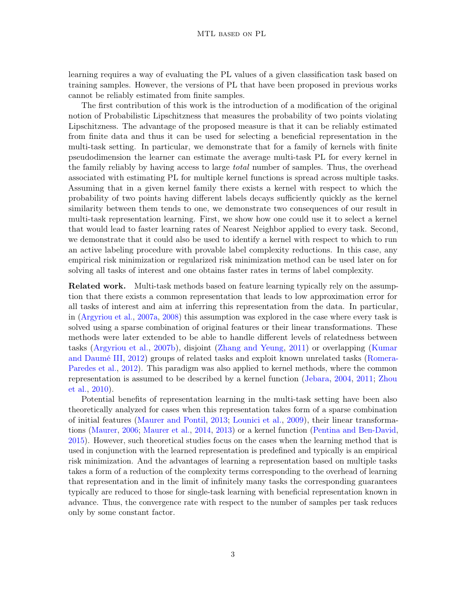learning requires a way of evaluating the PL values of a given classification task based on training samples. However, the versions of PL that have been proposed in previous works cannot be reliably estimated from finite samples.

The first contribution of this work is the introduction of a modification of the original notion of Probabilistic Lipschitzness that measures the probability of two points violating Lipschitzness. The advantage of the proposed measure is that it can be reliably estimated from finite data and thus it can be used for selecting a beneficial representation in the multi-task setting. In particular, we demonstrate that for a family of kernels with finite pseudodimension the learner can estimate the average multi-task PL for every kernel in the family reliably by having access to large *total* number of samples. Thus, the overhead associated with estimating PL for multiple kernel functions is spread across multiple tasks. Assuming that in a given kernel family there exists a kernel with respect to which the probability of two points having different labels decays sufficiently quickly as the kernel similarity between them tends to one, we demonstrate two consequences of our result in multi-task representation learning. First, we show how one could use it to select a kernel that would lead to faster learning rates of Nearest Neighbor applied to every task. Second, we demonstrate that it could also be used to identify a kernel with respect to which to run an active labeling procedure with provable label complexity reductions. In this case, any empirical risk minimization or regularized risk minimization method can be used later on for solving all tasks of interest and one obtains faster rates in terms of label complexity.

Related work. Multi-task methods based on feature learning typically rely on the assumption that there exists a common representation that leads to low approximation error for all tasks of interest and aim at inferring this representation from the data. In particular, in [\(Argyriou et al.,](#page-11-0) [2007a,](#page-11-0) [2008\)](#page-11-1) this assumption was explored in the case where every task is solved using a sparse combination of original features or their linear transformations. These methods were later extended to be able to handle different levels of relatedness between tasks [\(Argyriou et al.,](#page-11-3) [2007b\)](#page-11-3), disjoint [\(Zhang and Yeung,](#page-13-2) [2011\)](#page-13-2) or overlapping [\(Kumar](#page-12-2) [and Daumé III,](#page-12-2) [2012\)](#page-12-2) groups of related tasks and exploit known unrelated tasks [\(Romera-](#page-12-3)[Paredes et al.,](#page-12-3) [2012\)](#page-12-3). This paradigm was also applied to kernel methods, where the common representation is assumed to be described by a kernel function [\(Jebara,](#page-12-4) [2004,](#page-12-4) [2011;](#page-12-5) [Zhou](#page-13-3) [et al.,](#page-13-3) [2010\)](#page-13-3).

Potential benefits of representation learning in the multi-task setting have been also theoretically analyzed for cases when this representation takes form of a sparse combination of initial features [\(Maurer and Pontil,](#page-12-6) [2013;](#page-12-6) [Lounici et al.,](#page-12-7) [2009\)](#page-12-7), their linear transformations [\(Maurer,](#page-12-8) [2006;](#page-12-8) [Maurer et al.,](#page-12-9) [2014,](#page-12-9) [2013\)](#page-12-10) or a kernel function [\(Pentina and Ben-David,](#page-12-11) [2015\)](#page-12-11). However, such theoretical studies focus on the cases when the learning method that is used in conjunction with the learned representation is predefined and typically is an empirical risk minimization. And the advantages of learning a representation based on multiple tasks takes a form of a reduction of the complexity terms corresponding to the overhead of learning that representation and in the limit of infinitely many tasks the corresponding guarantees typically are reduced to those for single-task learning with beneficial representation known in advance. Thus, the convergence rate with respect to the number of samples per task reduces only by some constant factor.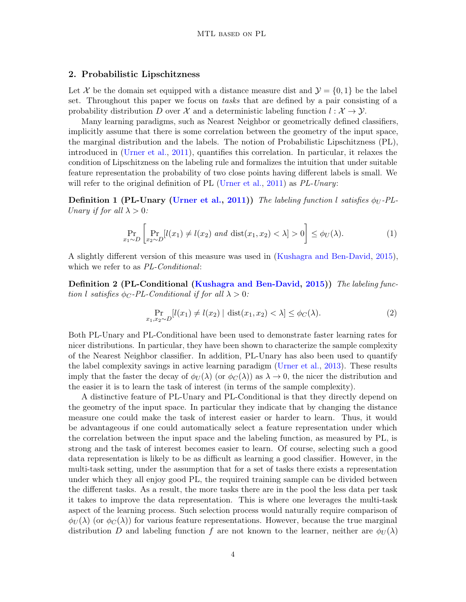### 2. Probabilistic Lipschitzness

Let X be the domain set equipped with a distance measure dist and  $\mathcal{Y} = \{0, 1\}$  be the label set. Throughout this paper we focus on tasks that are defined by a pair consisting of a probability distribution D over X and a deterministic labeling function  $l : \mathcal{X} \to \mathcal{Y}$ .

Many learning paradigms, such as Nearest Neighbor or geometrically defined classifiers, implicitly assume that there is some correlation between the geometry of the input space, the marginal distribution and the labels. The notion of Probabilistic Lipschitzness (PL), introduced in [\(Urner et al.,](#page-12-1) [2011\)](#page-12-1), quantifies this correlation. In particular, it relaxes the condition of Lipschitzness on the labeling rule and formalizes the intuition that under suitable feature representation the probability of two close points having different labels is small. We will refer to the original definition of PL [\(Urner et al.,](#page-12-1) [2011\)](#page-12-1) as  $PL-Unary$ :

**Definition 1 (PL-Unary [\(Urner et al.,](#page-12-1) [2011\)](#page-12-1))** The labeling function l satisfies  $\phi_U$ -PL-Unary if for all  $\lambda > 0$ :

$$
\Pr_{x_1 \sim D} \left[ \Pr_{x_2 \sim D} [l(x_1) \neq l(x_2) \text{ and } \text{dist}(x_1, x_2) < \lambda] > 0 \right] \leq \phi_U(\lambda). \tag{1}
$$

A slightly different version of this measure was used in [\(Kushagra and Ben-David,](#page-12-12) [2015\)](#page-12-12), which we refer to as PL-Conditional:

Definition 2 (PL-Conditional [\(Kushagra and Ben-David,](#page-12-12) [2015\)](#page-12-12)) The labeling function l satisfies  $\phi_C$ -PL-Conditional if for all  $\lambda > 0$ :

$$
\Pr_{x_1, x_2 \sim D} [l(x_1) \neq l(x_2) | \operatorname{dist}(x_1, x_2) < \lambda] \leq \phi_C(\lambda). \tag{2}
$$

Both PL-Unary and PL-Conditional have been used to demonstrate faster learning rates for nicer distributions. In particular, they have been shown to characterize the sample complexity of the Nearest Neighbor classifier. In addition, PL-Unary has also been used to quantify the label complexity savings in active learning paradigm [\(Urner et al.,](#page-13-1) [2013\)](#page-13-1). These results imply that the faster the decay of  $\phi_U(\lambda)$  (or  $\phi_C(\lambda)$ ) as  $\lambda \to 0$ , the nicer the distribution and the easier it is to learn the task of interest (in terms of the sample complexity).

A distinctive feature of PL-Unary and PL-Conditional is that they directly depend on the geometry of the input space. In particular they indicate that by changing the distance measure one could make the task of interest easier or harder to learn. Thus, it would be advantageous if one could automatically select a feature representation under which the correlation between the input space and the labeling function, as measured by PL, is strong and the task of interest becomes easier to learn. Of course, selecting such a good data representation is likely to be as difficult as learning a good classifier. However, in the multi-task setting, under the assumption that for a set of tasks there exists a representation under which they all enjoy good PL, the required training sample can be divided between the different tasks. As a result, the more tasks there are in the pool the less data per task it takes to improve the data representation. This is where one leverages the multi-task aspect of the learning process. Such selection process would naturally require comparison of  $\phi_U(\lambda)$  (or  $\phi_C(\lambda)$ ) for various feature representations. However, because the true marginal distribution D and labeling function f are not known to the learner, neither are  $\phi_U(\lambda)$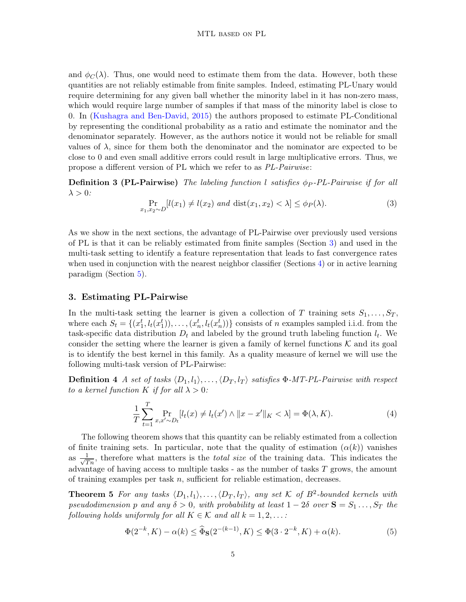and  $\phi_C(\lambda)$ . Thus, one would need to estimate them from the data. However, both these quantities are not reliably estimable from finite samples. Indeed, estimating PL-Unary would require determining for any given ball whether the minority label in it has non-zero mass, which would require large number of samples if that mass of the minority label is close to 0. In [\(Kushagra and Ben-David,](#page-12-12) [2015\)](#page-12-12) the authors proposed to estimate PL-Conditional by representing the conditional probability as a ratio and estimate the nominator and the denominator separately. However, as the authors notice it would not be reliable for small values of  $\lambda$ , since for them both the denominator and the nominator are expected to be close to 0 and even small additive errors could result in large multiplicative errors. Thus, we propose a different version of PL which we refer to as PL-Pairwise:

**Definition 3 (PL-Pairwise)** The labeling function l satisfies  $\phi_P$ -PL-Pairwise if for all  $\lambda > 0$ :

$$
\Pr_{x_1, x_2 \sim D} [l(x_1) \neq l(x_2) \text{ and } \text{dist}(x_1, x_2) < \lambda] \le \phi_P(\lambda). \tag{3}
$$

As we show in the next sections, the advantage of PL-Pairwise over previously used versions of PL is that it can be reliably estimated from finite samples (Section [3\)](#page-4-0) and used in the multi-task setting to identify a feature representation that leads to fast convergence rates when used in conjunction with the nearest neighbor classifier (Sections [4\)](#page-6-0) or in active learning paradigm (Section [5\)](#page-8-0).

### <span id="page-4-0"></span>3. Estimating PL-Pairwise

In the multi-task setting the learner is given a collection of T training sets  $S_1, \ldots, S_T$ , where each  $S_t = \{(x_1^t, l_t(x_1^t)), \ldots, (x_n^t, l_t(x_n^t))\}$  consists of n examples sampled i.i.d. from the task-specific data distribution  $D_t$  and labeled by the ground truth labeling function  $l_t$ . We consider the setting where the learner is given a family of kernel functions  $K$  and its goal is to identify the best kernel in this family. As a quality measure of kernel we will use the following multi-task version of PL-Pairwise:

**Definition 4** A set of tasks  $\langle D_1, l_1 \rangle, \ldots, \langle D_T, l_T \rangle$  satisfies  $\Phi$ -MT-PL-Pairwise with respect to a kernel function K if for all  $\lambda > 0$ :

$$
\frac{1}{T} \sum_{t=1}^{T} \Pr_{x, x' \sim D_t} [l_t(x) \neq l_t(x') \land ||x - x'||_K < \lambda] = \Phi(\lambda, K). \tag{4}
$$

The following theorem shows that this quantity can be reliably estimated from a collection of finite training sets. In particular, note that the quality of estimation  $(\alpha(k))$  vanishes as  $\frac{1}{\sqrt{2}}$  $\frac{1}{T_n}$ , therefore what matters is the *total size* of the training data. This indicates the advantage of having access to multiple tasks  $-$  as the number of tasks  $T$  grows, the amount of training examples per task  $n$ , sufficient for reliable estimation, decreases.

**Theorem 5** For any tasks  $\langle D_1, l_1 \rangle, \ldots, \langle D_T, l_T \rangle$ , any set K of  $B^2$ -bounded kernels with pseudodimension p and any  $\delta > 0$ , with probability at least  $1 - 2\delta$  over  $S = S_1 \dots, S_T$  the following holds uniformly for all  $K \in \mathcal{K}$  and all  $k = 1, 2, \ldots$ :

<span id="page-4-1"></span>
$$
\Phi(2^{-k}, K) - \alpha(k) \le \hat{\Phi}_S(2^{-(k-1)}, K) \le \Phi(3 \cdot 2^{-k}, K) + \alpha(k). \tag{5}
$$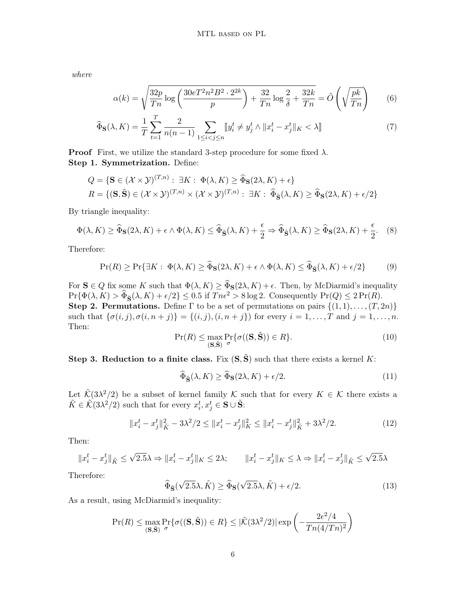where

$$
\alpha(k) = \sqrt{\frac{32p}{Tn} \log \left( \frac{30eT^2n^2B^2 \cdot 2^{2k}}{p} \right) + \frac{32}{Tn} \log \frac{2}{\delta} + \frac{32k}{Tn}} = \tilde{O}\left(\sqrt{\frac{pk}{Tn}}\right)
$$
(6)

$$
\widehat{\Phi}_{\mathbf{S}}(\lambda, K) = \frac{1}{T} \sum_{t=1}^{T} \frac{2}{n(n-1)} \sum_{1 \le i < j \le n} [y_i^t \ne y_j^t \wedge \|x_i^t - x_j^t\|_K < \lambda] \tag{7}
$$

**Proof** First, we utilize the standard 3-step procedure for some fixed  $\lambda$ . Step 1. Symmetrization. Define:

$$
Q = \{ \mathbf{S} \in (\mathcal{X} \times \mathcal{Y})^{(T,n)} : \exists K : \Phi(\lambda, K) \ge \widehat{\Phi}_{\mathbf{S}}(2\lambda, K) + \epsilon \}
$$
  

$$
R = \{ (\mathbf{S}, \widetilde{\mathbf{S}}) \in (\mathcal{X} \times \mathcal{Y})^{(T,n)} \times (\mathcal{X} \times \mathcal{Y})^{(T,n)} : \exists K : \widehat{\Phi}_{\widetilde{\mathbf{S}}}(\lambda, K) \ge \widehat{\Phi}_{\mathbf{S}}(2\lambda, K) + \epsilon/2 \}
$$

By triangle inequality:

$$
\Phi(\lambda, K) \ge \widehat{\Phi}_{\mathbf{S}}(2\lambda, K) + \epsilon \wedge \Phi(\lambda, K) \le \widehat{\Phi}_{\widetilde{\mathbf{S}}}(\lambda, K) + \frac{\epsilon}{2} \Rightarrow \widehat{\Phi}_{\widetilde{\mathbf{S}}}(\lambda, K) \ge \widehat{\Phi}_{\mathbf{S}}(2\lambda, K) + \frac{\epsilon}{2}.
$$
 (8)

Therefore:

$$
\Pr(R) \ge \Pr\{\exists K : \Phi(\lambda, K) \ge \widehat{\Phi}_{\mathbf{S}}(2\lambda, K) + \epsilon \wedge \Phi(\lambda, K) \le \widehat{\Phi}_{\widetilde{\mathbf{S}}}(\lambda, K) + \epsilon/2\}
$$
(9)

For  $S \in Q$  fix some K such that  $\Phi(\lambda, K) \ge \Phi_S(2\lambda, K) + \epsilon$ . Then, by McDiarmid's inequality  $\Pr{\Phi(\lambda, K) > \widehat{\Phi}_{\mathbf{S}}(\lambda, K) + \epsilon/2} \leq 0.5 \text{ if } Tn\epsilon^2 > 8 \log 2.$  Consequently  $\Pr(Q) \leq 2 \Pr(R)$ . Step 2. Permutations. Define  $\Gamma$  to be a set of permutations on pairs  $\{(1,1), \ldots, (T, 2n)\}$ such that  $\{\sigma(i, j), \sigma(i, n + j)\} = \{(i, j), (i, n + j)\}$  for every  $i = 1, ..., T$  and  $j = 1, ..., n$ . Then:

$$
\Pr(R) \le \max_{\left(\mathbf{S}, \tilde{\mathbf{S}}\right)} \Pr\{\sigma((\mathbf{S}, \tilde{\mathbf{S}})) \in R\}.
$$
\n(10)

Step 3. Reduction to a finite class. Fix  $(S, \tilde{S})$  such that there exists a kernel K:

$$
\widehat{\Phi}_{\widetilde{\mathbf{S}}}(\lambda, K) \ge \widehat{\Phi}_{\mathbf{S}}(2\lambda, K) + \epsilon/2. \tag{11}
$$

Let  $\tilde{\mathcal{K}}(3\lambda^2/2)$  be a subset of kernel family K such that for every  $K \in \mathcal{K}$  there exists a  $\tilde{K} \in \tilde{\mathcal{K}}(3\lambda^2/2)$  such that for every  $x_i^t, x_j^t \in \mathbf{S} \cup \tilde{\mathbf{S}}$ :

$$
||x_i^t - x_j^t||_{\tilde{K}}^2 - 3\lambda^2/2 \le ||x_i^t - x_j^t||_K^2 \le ||x_i^t - x_j^t||_{\tilde{K}}^2 + 3\lambda^2/2. \tag{12}
$$

Then:

$$
||x_i^t - x_j^t||_{\tilde{K}} \le \sqrt{2.5}\lambda \Rightarrow ||x_i^t - x_j^t||_K \le 2\lambda; \qquad ||x_i^t - x_j^t||_K \le \lambda \Rightarrow ||x_i^t - x_j^t||_{\tilde{K}} \le \sqrt{2.5}\lambda
$$

Therefore:

$$
\widehat{\Phi}_{\widetilde{\mathbf{S}}}(\sqrt{2.5}\lambda,\tilde{K}) \ge \widehat{\Phi}_{\mathbf{S}}(\sqrt{2.5}\lambda,\tilde{K}) + \epsilon/2. \tag{13}
$$

As a result, using McDiarmid's inequality:

$$
\Pr(R) \le \max_{\substack{\mathbf{S}, \mathbf{\tilde{S}}}} \Pr\{\sigma((\mathbf{S}, \tilde{\mathbf{S}})) \in R\} \le |\tilde{\mathcal{K}}(3\lambda^2/2)| \exp\left(-\frac{2\epsilon^2/4}{Tn(4/Tn)^2}\right)
$$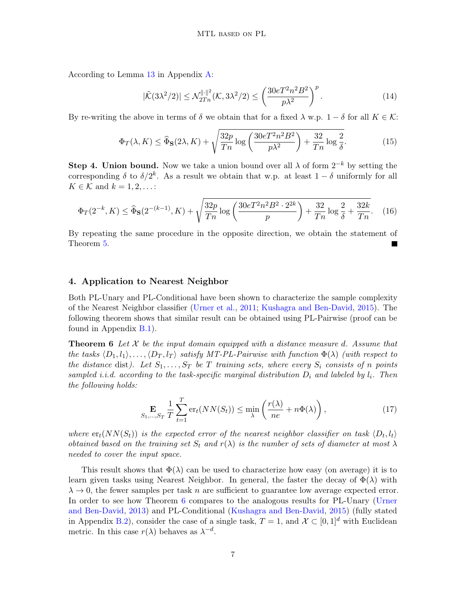According to Lemma [13](#page-13-4) in Appendix [A:](#page-13-5)

$$
|\tilde{\mathcal{K}}(3\lambda^2/2)| \le \mathcal{N}_{2Tn}^{\|\cdot\|^2}(\mathcal{K}, 3\lambda^2/2) \le \left(\frac{30eT^2n^2B^2}{p\lambda^2}\right)^p.
$$
 (14)

By re-writing the above in terms of  $\delta$  we obtain that for a fixed  $\lambda$  w.p.  $1 - \delta$  for all  $K \in \mathcal{K}$ :

$$
\Phi_T(\lambda, K) \le \widehat{\Phi}_S(2\lambda, K) + \sqrt{\frac{32p}{Tn} \log \left( \frac{30e^{2n^2B^2}}{p\lambda^2} \right) + \frac{32}{Tn} \log \frac{2}{\delta}}.
$$
\n(15)

**Step 4. Union bound.** Now we take a union bound over all  $\lambda$  of form  $2^{-k}$  by setting the corresponding  $\delta$  to  $\delta/2^k$ . As a result we obtain that w.p. at least  $1-\delta$  uniformly for all  $K \in \mathcal{K}$  and  $k = 1, 2, \ldots$ :

$$
\Phi_T(2^{-k}, K) \le \widehat{\Phi}_S(2^{-(k-1)}, K) + \sqrt{\frac{32p}{Tn} \log \left( \frac{30e^{2n^2B^2 \cdot 2^{2k}}}{p} \right) + \frac{32}{Tn} \log \frac{2}{\delta} + \frac{32k}{Tn}}.
$$
 (16)

By repeating the same procedure in the opposite direction, we obtain the statement of Theorem [5.](#page-4-1)

### <span id="page-6-0"></span>4. Application to Nearest Neighbor

Both PL-Unary and PL-Conditional have been shown to characterize the sample complexity of the Nearest Neighbor classifier [\(Urner et al.,](#page-12-1) [2011;](#page-12-1) [Kushagra and Ben-David,](#page-12-12) [2015\)](#page-12-12). The following theorem shows that similar result can be obtained using PL-Pairwise (proof can be found in Appendix [B.1\)](#page-14-0).

**Theorem 6** Let  $\mathcal{X}$  be the input domain equipped with a distance measure d. Assume that the tasks  $\langle D_1, l_1 \rangle, \ldots, \langle D_T, l_T \rangle$  satisfy MT-PL-Pairwise with function  $\Phi(\lambda)$  (with respect to the distance dist). Let  $S_1, \ldots, S_T$  be T training sets, where every  $S_i$  consists of n points sampled i.i.d. according to the task-specific marginal distribution  $D_i$  and labeled by  $l_i$ . Then the following holds:

<span id="page-6-1"></span>
$$
\mathop{\mathbf{E}}_{S_1,\dots,S_T} \frac{1}{T} \sum_{t=1}^T \text{er}_t(NN(S_t)) \le \min_{\lambda} \left( \frac{r(\lambda)}{ne} + n\Phi(\lambda) \right),\tag{17}
$$

where  $er_t(NN(S_t))$  is the expected error of the nearest neighbor classifier on task  $\langle D_t, l_t \rangle$ obtained based on the training set  $S_t$  and  $r(\lambda)$  is the number of sets of diameter at most  $\lambda$ needed to cover the input space.

This result shows that  $\Phi(\lambda)$  can be used to characterize how easy (on average) it is to learn given tasks using Nearest Neighbor. In general, the faster the decay of  $\Phi(\lambda)$  with  $\lambda \to 0$ , the fewer samples per task n are sufficient to guarantee low average expected error. In order to see how Theorem [6](#page-6-1) compares to the analogous results for PL-Unary [\(Urner](#page-12-13) [and Ben-David,](#page-12-13) [2013\)](#page-12-13) and PL-Conditional [\(Kushagra and Ben-David,](#page-12-12) [2015\)](#page-12-12) (fully stated in Appendix [B.2\)](#page-14-1), consider the case of a single task,  $T = 1$ , and  $\mathcal{X} \subset [0, 1]^d$  with Euclidean metric. In this case  $r(\lambda)$  behaves as  $\lambda^{-d}$ .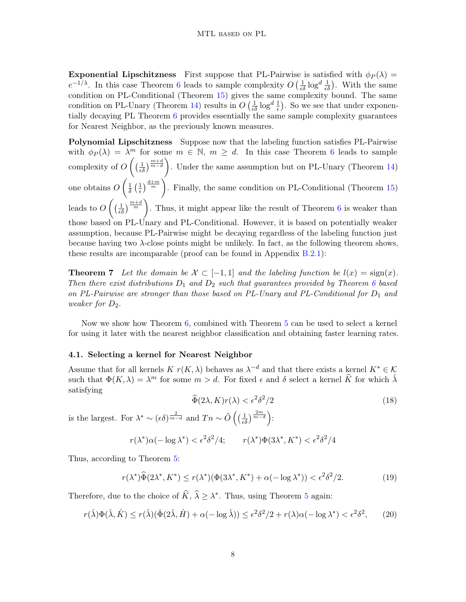**Exponential Lipschitzness** First suppose that PL-Pairwise is satisfied with  $\phi_P(\lambda)$  =  $e^{-1/\lambda}$ . In this case Theorem [6](#page-6-1) leads to sample complexity  $O\left(\frac{1}{\epsilon \delta} \log^d \frac{1}{\epsilon \delta}\right)$ . With the same condition on PL-Conditional (Theorem [15\)](#page-14-2) gives the same complexity bound. The same condition on PL-Unary (Theorem [14\)](#page-14-3) results in  $O\left(\frac{1}{\epsilon \delta} \log^d \frac{1}{\epsilon}\right)$ . So we see that under exponentially decaying PL Theorem [6](#page-6-1) provides essentially the same sample complexity guarantees for Nearest Neighbor, as the previously known measures.

Polynomial Lipschitzness Suppose now that the labeling function satisfies PL-Pairwise with  $\phi_P(\lambda) = \lambda^m$  for some  $m \in \mathbb{N}$ ,  $m \geq d$ . In this case Theorem [6](#page-6-1) leads to sample complexity of  $O\left(\left(\frac{1}{\epsilon\delta}\right)^{\frac{m+d}{m-d}}\right)$ . Under the same assumption but on PL-Unary (Theorem [14\)](#page-14-3) one obtains  $O\left(\frac{1}{\delta}\right)$  $rac{1}{\delta}$   $\left(\frac{1}{\epsilon}\right)$  $\frac{1}{\epsilon}$   $\left(\frac{d+m}{m}\right)$ . Finally, the same condition on PL-Conditional (Theorem [15\)](#page-14-2) leads to  $O\left(\left(\frac{1}{\epsilon\delta}\right)^{\frac{m+d}{m}}\right)$ . Thus, it might appear like the result of Theorem [6](#page-6-1) is weaker than those based on PL-Unary and PL-Conditional. However, it is based on potentially weaker assumption, because PL-Pairwise might be decaying regardless of the labeling function just because having two  $\lambda$ -close points might be unlikely. In fact, as the following theorem shows, these results are incomparable (proof can be found in Appendix [B.2.1\)](#page-15-0):

<span id="page-7-0"></span>**Theorem 7** Let the domain be  $\mathcal{X} \subset [-1,1]$  and the labeling function be  $l(x) = \text{sign}(x)$ . Then there exist distributions  $D_1$  and  $D_2$  such that guarantees provided by Theorem [6](#page-6-1) based on PL-Pairwise are stronger than those based on PL-Unary and PL-Conditional for  $D_1$  and weaker for  $D_2$ .

Now we show how Theorem [6,](#page-6-1) combined with Theorem [5](#page-4-1) can be used to select a kernel for using it later with the nearest neighbor classification and obtaining faster learning rates.

#### 4.1. Selecting a kernel for Nearest Neighbor

Assume that for all kernels  $K r(K, \lambda)$  behaves as  $\lambda^{-d}$  and that there exists a kernel  $K^* \in \mathcal{K}$ such that  $\Phi(K, \lambda) = \lambda^m$  for some  $m > d$ . For fixed  $\epsilon$  and  $\delta$  select a kernel  $\widehat{K}$  for which  $\widehat{\lambda}$ satisfying

$$
\widehat{\Phi}(2\lambda, K)r(\lambda) < \epsilon^2 \delta^2/2\tag{18}
$$

is the largest. For  $\lambda^* \sim (\epsilon \delta)^{\frac{2}{m-d}}$  and  $T_n \sim \tilde{O}\left((\frac{1}{\epsilon \delta})^{\frac{2m}{m-d}}\right)$ :

$$
r(\lambda^*)\alpha(-\log\lambda^*) < \epsilon^2 \delta^2/4; \qquad r(\lambda^*)\Phi(3\lambda^*, K^*) < \epsilon^2 \delta^2/4
$$

Thus, according to Theorem [5:](#page-4-1)

$$
r(\lambda^*)\widehat{\Phi}(2\lambda^*, K^*) \le r(\lambda^*)(\Phi(3\lambda^*, K^*) + \alpha(-\log \lambda^*)) < \epsilon^2 \delta^2/2. \tag{19}
$$

Therefore, due to the choice of  $\widehat{K}$ ,  $\widehat{\lambda} \geq \lambda^*$ . Thus, using Theorem [5](#page-4-1) again:

$$
r(\hat{\lambda})\Phi(\hat{\lambda},\hat{K}) \le r(\hat{\lambda})(\hat{\Phi}(2\hat{\lambda},\hat{H}) + \alpha(-\log\hat{\lambda})) \le \epsilon^2 \delta^2/2 + r(\lambda)\alpha(-\log\lambda^*) < \epsilon^2 \delta^2,\tag{20}
$$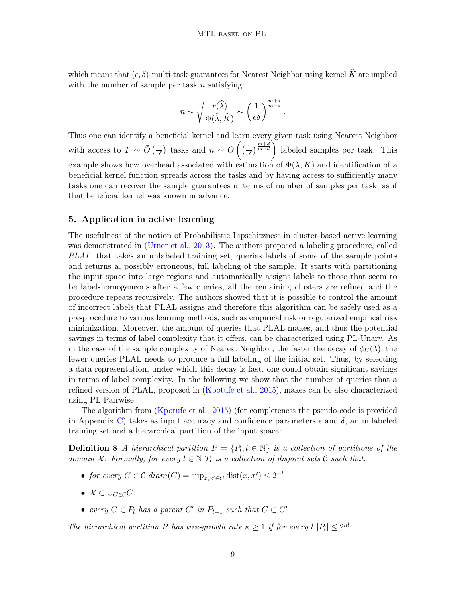which means that  $(\epsilon, \delta)$ -multi-task-guarantees for Nearest Neighbor using kernel  $\widehat{K}$  are implied with the number of sample per task  $n$  satisfying:

$$
n \sim \sqrt{\frac{r(\widehat{\lambda})}{\Phi(\widehat{\lambda}, \widehat{K})}} \sim \left(\frac{1}{\epsilon \delta}\right)^{\frac{m+d}{m-d}}.
$$

Thus one can identify a beneficial kernel and learn every given task using Nearest Neighbor with access to  $T \sim \tilde{O}\left(\frac{1}{\epsilon \delta}\right)$  tasks and  $n \sim O\left(\left(\frac{1}{\epsilon \delta}\right)^{\frac{m+d}{m-d}}\right)$  labeled samples per task. This example shows how overhead associated with estimation of  $\Phi(\lambda, K)$  and identification of a beneficial kernel function spreads across the tasks and by having access to sufficiently many tasks one can recover the sample guarantees in terms of number of samples per task, as if that beneficial kernel was known in advance.

### <span id="page-8-0"></span>5. Application in active learning

The usefulness of the notion of Probabilistic Lipschitzness in cluster-based active learning was demonstrated in [\(Urner et al.,](#page-13-1) [2013\)](#page-13-1). The authors proposed a labeling procedure, called PLAL, that takes an unlabeled training set, queries labels of some of the sample points and returns a, possibly erroneous, full labeling of the sample. It starts with partitioning the input space into large regions and automatically assigns labels to those that seem to be label-homogeneous after a few queries, all the remaining clusters are refined and the procedure repeats recursively. The authors showed that it is possible to control the amount of incorrect labels that PLAL assigns and therefore this algorithm can be safely used as a pre-procedure to various learning methods, such as empirical risk or regularized empirical risk minimization. Moreover, the amount of queries that PLAL makes, and thus the potential savings in terms of label complexity that it offers, can be characterized using PL-Unary. As in the case of the sample complexity of Nearest Neighbor, the faster the decay of  $\phi_{U}(\lambda)$ , the fewer queries PLAL needs to produce a full labeling of the initial set. Thus, by selecting a data representation, under which this decay is fast, one could obtain significant savings in terms of label complexity. In the following we show that the number of queries that a refined version of PLAL, proposed in [\(Kpotufe et al.,](#page-12-14) [2015\)](#page-12-14), makes can be also characterized using PL-Pairwise.

The algorithm from [\(Kpotufe et al.,](#page-12-14) [2015\)](#page-12-14) (for completeness the pseudo-code is provided in Appendix [C\)](#page-17-0) takes as input accuracy and confidence parameters  $\epsilon$  and  $\delta$ , an unlabeled training set and a hierarchical partition of the input space:

**Definition 8** A hierarchical partition  $P = \{P_l, l \in \mathbb{N}\}\$ is a collection of partitions of the domain X. Formally, for every  $l \in \mathbb{N}$   $T_l$  is a collection of disjoint sets C such that:

- for every  $C \in \mathcal{C}$  diam $(C) = \sup_{x,x' \in C} \text{dist}(x,x') \leq 2^{-l}$
- $\mathcal{X} \subset \cup_{C \in \mathcal{C}} C$
- every  $C \in P_l$  has a parent  $C'$  in  $P_{l-1}$  such that  $C \subset C'$

The hierarchical partition P has tree-growth rate  $\kappa \geq 1$  if for every  $l |P_l| \leq 2^{\kappa l}$ .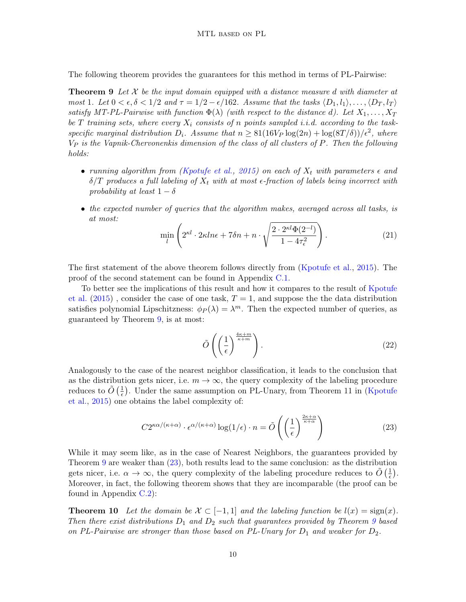The following theorem provides the guarantees for this method in terms of PL-Pairwise:

**Theorem 9** Let  $\mathcal{X}$  be the input domain equipped with a distance measure d with diameter at most 1. Let  $0 < \epsilon, \delta < 1/2$  and  $\tau = 1/2 - \epsilon/162$ . Assume that the tasks  $\langle D_1, l_1 \rangle, \ldots, \langle D_T, l_T \rangle$ satisfy MT-PL-Pairwise with function  $\Phi(\lambda)$  (with respect to the distance d). Let  $X_1, \ldots, X_T$ be T training sets, where every  $X_i$  consists of n points sampled i.i.d. according to the taskspecific marginal distribution  $D_i$ . Assume that  $n \geq 81(16V_P \log(2n) + \log(8T/\delta))/\epsilon^2$ , where  $V_P$  is the Vapnik-Chervonenkis dimension of the class of all clusters of  $P$ . Then the following holds:

- running algorithm from [\(Kpotufe et al.,](#page-12-14) [2015\)](#page-12-14) on each of  $X_t$  with parameters  $\epsilon$  and  $\delta/T$  produces a full labeling of  $X_t$  with at most  $\epsilon$ -fraction of labels being incorrect with probability at least  $1 - \delta$
- the expected number of queries that the algorithm makes, averaged across all tasks, is at most:

<span id="page-9-0"></span>
$$
\min_{l} \left( 2^{\kappa l} \cdot 2\kappa ln \epsilon + 7\delta n + n \cdot \sqrt{\frac{2 \cdot 2^{\kappa l} \Phi(2^{-l})}{1 - 4\tau_{\epsilon}^2}} \right). \tag{21}
$$

The first statement of the above theorem follows directly from [\(Kpotufe et al.,](#page-12-14) [2015\)](#page-12-14). The proof of the second statement can be found in Appendix [C.1.](#page-17-1)

To better see the implications of this result and how it compares to the result of [Kpotufe](#page-12-14) [et al.](#page-12-14)  $(2015)$ , consider the case of one task,  $T = 1$ , and suppose the the data distribution satisfies polynomial Lipschitzness:  $\phi_P(\lambda) = \lambda^m$ . Then the expected number of queries, as guaranteed by Theorem [9,](#page-9-0) is at most:

$$
\tilde{O}\left(\left(\frac{1}{\epsilon}\right)^{\frac{4\kappa+m}{\kappa+m}}\right).
$$
\n(22)

Analogously to the case of the nearest neighbor classification, it leads to the conclusion that as the distribution gets nicer, i.e.  $m \to \infty$ , the query complexity of the labeling procedure reduces to  $\tilde{O}(\frac{1}{\epsilon})$  $\frac{1}{\epsilon}$ ). Under the same assumption on PL-Unary, from Theorem 11 in [\(Kpotufe](#page-12-14) [et al.,](#page-12-14) [2015\)](#page-12-14) one obtains the label complexity of:

<span id="page-9-2"></span><span id="page-9-1"></span>
$$
C2^{\kappa\alpha/(\kappa+\alpha)} \cdot \epsilon^{\alpha/(\kappa+\alpha)} \log(1/\epsilon) \cdot n = \tilde{O}\left(\left(\frac{1}{\epsilon}\right)^{\frac{2\kappa+\alpha}{\kappa+\alpha}}\right)
$$
(23)

While it may seem like, as in the case of Nearest Neighbors, the guarantees provided by Theorem [9](#page-9-0) are weaker than [\(23\)](#page-9-1), both results lead to the same conclusion: as the distribution gets nicer, i.e.  $\alpha \to \infty$ , the query complexity of the labeling procedure reduces to  $\tilde{O}(\frac{1}{\epsilon})$  $\frac{1}{\epsilon}$ . Moreover, in fact, the following theorem shows that they are incomparable (the proof can be found in Appendix [C.2\)](#page-18-0):

**Theorem 10** Let the domain be  $\mathcal{X} \subset [-1, 1]$  and the labeling function be  $l(x) = \text{sign}(x)$ . Then there exist distributions  $D_1$  and  $D_2$  such that guarantees provided by Theorem [9](#page-9-0) based on PL-Pairwise are stronger than those based on PL-Unary for  $D_1$  and weaker for  $D_2$ .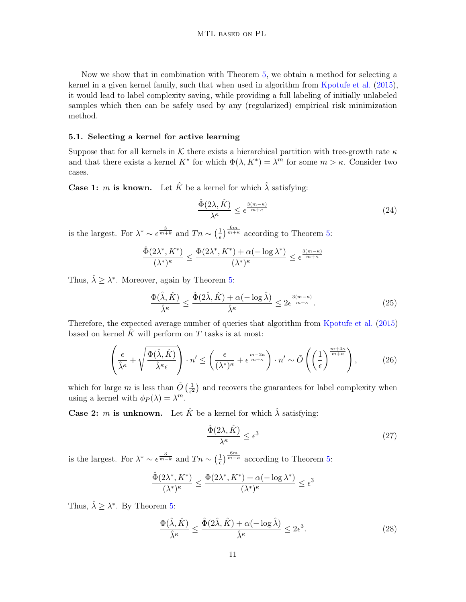Now we show that in combination with Theorem [5,](#page-4-1) we obtain a method for selecting a kernel in a given kernel family, such that when used in algorithm from [Kpotufe et al.](#page-12-14) [\(2015\)](#page-12-14), it would lead to label complexity saving, while providing a full labeling of initially unlabeled samples which then can be safely used by any (regularized) empirical risk minimization method.

### 5.1. Selecting a kernel for active learning

Suppose that for all kernels in K there exists a hierarchical partition with tree-growth rate  $\kappa$ and that there exists a kernel  $K^*$  for which  $\Phi(\lambda, K^*) = \lambda^m$  for some  $m > \kappa$ . Consider two cases.

**Case 1:** *m* is known. Let  $\hat{K}$  be a kernel for which  $\hat{\lambda}$  satisfying:

$$
\frac{\hat{\Phi}(2\lambda,\hat{K})}{\lambda^{\kappa}} \le \epsilon^{\frac{3(m-\kappa)}{m+\kappa}} \tag{24}
$$

is the largest. For  $\lambda^* \sim \epsilon^{\frac{3}{m+k}}$  and  $T_n \sim (\frac{1}{\epsilon})$  $\frac{1}{\epsilon}$   $\frac{6m}{m+\kappa}$  according to Theorem [5:](#page-4-1)

$$
\frac{\hat{\Phi}(2\lambda^*,K^*)}{(\lambda^*)^{\kappa}} \le \frac{\Phi(2\lambda^*,K^*) + \alpha(-\log\lambda^*)}{(\lambda^*)^{\kappa}} \le \epsilon^{\frac{3(m-\kappa)}{m+\kappa}}
$$

Thus,  $\hat{\lambda} \geq \lambda^*$ . Moreover, again by Theorem [5:](#page-4-1)

$$
\frac{\Phi(\hat{\lambda}, \hat{K})}{\hat{\lambda}^{\kappa}} \le \frac{\hat{\Phi}(2\hat{\lambda}, \hat{K}) + \alpha(-\log \hat{\lambda})}{\hat{\lambda}^{\kappa}} \le 2\epsilon^{\frac{3(m-\kappa)}{m+\kappa}}.
$$
\n(25)

Therefore, the expected average number of queries that algorithm from [Kpotufe et al.](#page-12-14) [\(2015\)](#page-12-14) based on kernel  $\tilde{K}$  will perform on T tasks is at most:

$$
\left(\frac{\epsilon}{\hat{\lambda}^{\kappa}} + \sqrt{\frac{\Phi(\hat{\lambda}, \hat{K})}{\hat{\lambda}^{\kappa}\epsilon}}\right) \cdot n' \le \left(\frac{\epsilon}{(\lambda^*)^{\kappa}} + \epsilon^{\frac{m-2\kappa}{m+\kappa}}\right) \cdot n' \sim \tilde{O}\left(\left(\frac{1}{\epsilon}\right)^{\frac{m+4\kappa}{m+\kappa}}\right),\tag{26}
$$

which for large m is less than  $\tilde{O}(\frac{1}{\epsilon^2})$  $\frac{1}{\epsilon^2}$ ) and recovers the guarantees for label complexity when using a kernel with  $\phi_P(\lambda) = \lambda^m$ .

**Case 2:** *m* is unknown. Let  $\hat{K}$  be a kernel for which  $\hat{\lambda}$  satisfying:

$$
\frac{\hat{\Phi}(2\lambda,\hat{K})}{\lambda^{\kappa}} \le \epsilon^3 \tag{27}
$$

is the largest. For  $\lambda^* \sim \epsilon^{\frac{3}{m-k}}$  and  $T_n \sim (\frac{1}{\epsilon})$  $\frac{1}{\epsilon}$  of  $\frac{6m}{m-\kappa}$  according to Theorem [5:](#page-4-1)

$$
\frac{\hat{\Phi}(2\lambda^*,K^*)}{(\lambda^*)^{\kappa}} \le \frac{\Phi(2\lambda^*,K^*) + \alpha(-\log\lambda^*)}{(\lambda^*)^{\kappa}} \le \epsilon^3
$$

Thus,  $\hat{\lambda} \geq \lambda^*$ . By Theorem [5:](#page-4-1)

$$
\frac{\Phi(\hat{\lambda}, \hat{K})}{\hat{\lambda}^{\kappa}} \le \frac{\hat{\Phi}(2\hat{\lambda}, \hat{K}) + \alpha(-\log \hat{\lambda})}{\hat{\lambda}^{\kappa}} \le 2\epsilon^3.
$$
\n(28)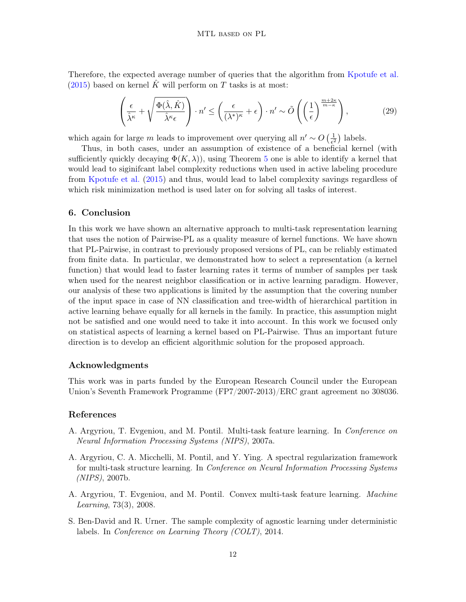Therefore, the expected average number of queries that the algorithm from [Kpotufe et al.](#page-12-14)  $(2015)$  based on kernel K will perform on T tasks is at most:

$$
\left(\frac{\epsilon}{\hat{\lambda}^{\kappa}} + \sqrt{\frac{\Phi(\hat{\lambda}, \hat{K})}{\hat{\lambda}^{\kappa}\epsilon}}\right) \cdot n' \le \left(\frac{\epsilon}{(\lambda^*)^{\kappa}} + \epsilon\right) \cdot n' \sim \tilde{O}\left(\left(\frac{1}{\epsilon}\right)^{\frac{m+2\kappa}{m-\kappa}}\right),\tag{29}
$$

which again for large m leads to improvement over querying all  $n' \sim O\left(\frac{1}{\epsilon^2}\right)$  $\frac{1}{\epsilon^2}$ ) labels.

Thus, in both cases, under an assumption of existence of a beneficial kernel (with sufficiently quickly decaying  $\Phi(K,\lambda)$ , using Theorem [5](#page-4-1) one is able to identify a kernel that would lead to siginifcant label complexity reductions when used in active labeling procedure from [Kpotufe et al.](#page-12-14) [\(2015\)](#page-12-14) and thus, would lead to label complexity savings regardless of which risk minimization method is used later on for solving all tasks of interest.

### 6. Conclusion

In this work we have shown an alternative approach to multi-task representation learning that uses the notion of Pairwise-PL as a quality measure of kernel functions. We have shown that PL-Pairwise, in contrast to previously proposed versions of PL, can be reliably estimated from finite data. In particular, we demonstrated how to select a representation (a kernel function) that would lead to faster learning rates it terms of number of samples per task when used for the nearest neighbor classification or in active learning paradigm. However, our analysis of these two applications is limited by the assumption that the covering number of the input space in case of NN classification and tree-width of hierarchical partition in active learning behave equally for all kernels in the family. In practice, this assumption might not be satisfied and one would need to take it into account. In this work we focused only on statistical aspects of learning a kernel based on PL-Pairwise. Thus an important future direction is to develop an efficient algorithmic solution for the proposed approach.

### Acknowledgments

This work was in parts funded by the European Research Council under the European Union's Seventh Framework Programme (FP7/2007-2013)/ERC grant agreement no 308036.

#### References

- <span id="page-11-0"></span>A. Argyriou, T. Evgeniou, and M. Pontil. Multi-task feature learning. In Conference on Neural Information Processing Systems (NIPS), 2007a.
- <span id="page-11-3"></span>A. Argyriou, C. A. Micchelli, M. Pontil, and Y. Ying. A spectral regularization framework for multi-task structure learning. In Conference on Neural Information Processing Systems (NIPS), 2007b.
- <span id="page-11-1"></span>A. Argyriou, T. Evgeniou, and M. Pontil. Convex multi-task feature learning. Machine Learning, 73(3), 2008.
- <span id="page-11-2"></span>S. Ben-David and R. Urner. The sample complexity of agnostic learning under deterministic labels. In Conference on Learning Theory (COLT), 2014.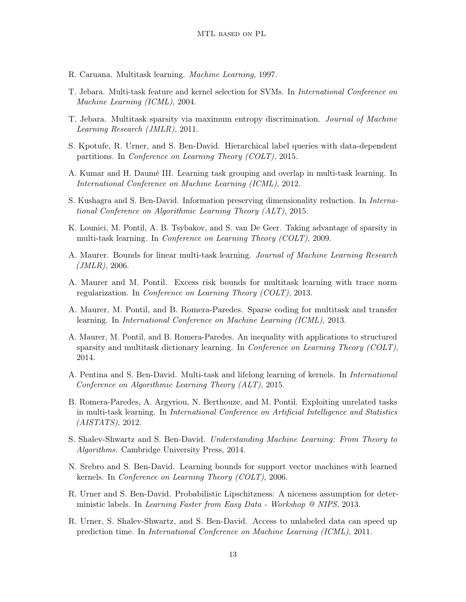- <span id="page-12-0"></span>R. Caruana. Multitask learning. Machine Learning, 1997.
- <span id="page-12-4"></span>T. Jebara. Multi-task feature and kernel selection for SVMs. In International Conference on Machine Learning (ICML), 2004.
- <span id="page-12-5"></span>T. Jebara. Multitask sparsity via maximum entropy discrimination. Journal of Machine Learning Research (JMLR), 2011.
- <span id="page-12-14"></span>S. Kpotufe, R. Urner, and S. Ben-David. Hierarchical label queries with data-dependent partitions. In Conference on Learning Theory (COLT), 2015.
- <span id="page-12-2"></span>A. Kumar and H. Daumé III. Learning task grouping and overlap in multi-task learning. In International Conference on Machine Learning (ICML), 2012.
- <span id="page-12-12"></span>S. Kushagra and S. Ben-David. Information preserving dimensionality reduction. In International Conference on Algorithmic Learning Theory (ALT), 2015.
- <span id="page-12-7"></span>K. Lounici, M. Pontil, A. B. Tsybakov, and S. van De Geer. Taking advantage of sparsity in multi-task learning. In Conference on Learning Theory (COLT), 2009.
- <span id="page-12-8"></span>A. Maurer. Bounds for linear multi-task learning. Journal of Machine Learning Research  $(JMLR), 2006.$
- <span id="page-12-6"></span>A. Maurer and M. Pontil. Excess risk bounds for multitask learning with trace norm regularization. In Conference on Learning Theory (COLT), 2013.
- <span id="page-12-10"></span>A. Maurer, M. Pontil, and B. Romera-Paredes. Sparse coding for multitask and transfer learning. In International Conference on Machine Learning (ICML), 2013.
- <span id="page-12-9"></span>A. Maurer, M. Pontil, and B. Romera-Paredes. An inequality with applications to structured sparsity and multitask dictionary learning. In Conference on Learning Theory (COLT), 2014.
- <span id="page-12-11"></span>A. Pentina and S. Ben-David. Multi-task and lifelong learning of kernels. In International Conference on Algorithmic Learning Theory (ALT), 2015.
- <span id="page-12-3"></span>B. Romera-Paredes, A. Argyriou, N. Berthouze, and M. Pontil. Exploiting unrelated tasks in multi-task learning. In International Conference on Artificial Intelligence and Statistics (AISTATS), 2012.
- <span id="page-12-16"></span>S. Shalev-Shwartz and S. Ben-David. Understanding Machine Learning: From Theory to Algorithms. Cambridge University Press, 2014.
- <span id="page-12-15"></span>N. Srebro and S. Ben-David. Learning bounds for support vector machines with learned kernels. In Conference on Learning Theory (COLT), 2006.
- <span id="page-12-13"></span>R. Urner and S. Ben-David. Probabilistic Lipschitzness: A niceness assumption for deterministic labels. In Learning Faster from Easy Data - Workshop @ NIPS, 2013.
- <span id="page-12-1"></span>R. Urner, S. Shalev-Shwartz, and S. Ben-David. Access to unlabeled data can speed up prediction time. In International Conference on Machine Learning (ICML), 2011.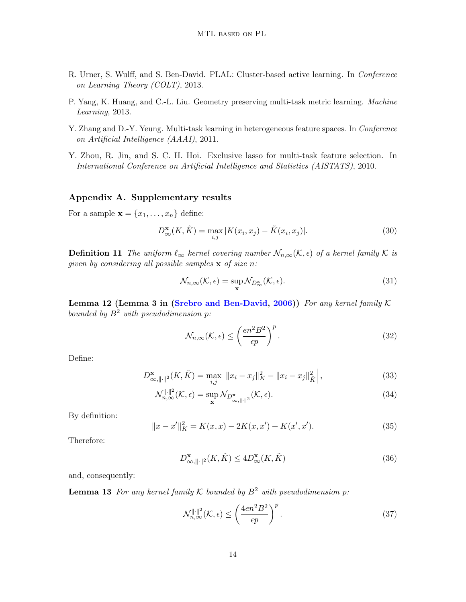- <span id="page-13-1"></span>R. Urner, S. Wulff, and S. Ben-David. PLAL: Cluster-based active learning. In Conference on Learning Theory (COLT), 2013.
- <span id="page-13-0"></span>P. Yang, K. Huang, and C.-L. Liu. Geometry preserving multi-task metric learning. Machine Learning, 2013.
- <span id="page-13-2"></span>Y. Zhang and D.-Y. Yeung. Multi-task learning in heterogeneous feature spaces. In Conference on Artificial Intelligence (AAAI), 2011.
- <span id="page-13-3"></span>Y. Zhou, R. Jin, and S. C. H. Hoi. Exclusive lasso for multi-task feature selection. In International Conference on Artificial Intelligence and Statistics (AISTATS), 2010.

# <span id="page-13-5"></span>Appendix A. Supplementary results

For a sample  $\mathbf{x} = \{x_1, \ldots, x_n\}$  define:

$$
D_{\infty}^{\mathbf{x}}(K,\tilde{K}) = \max_{i,j} |K(x_i, x_j) - \tilde{K}(x_i, x_j)|. \tag{30}
$$

**Definition 11** The uniform  $\ell_{\infty}$  kernel covering number  $\mathcal{N}_{n,\infty}(\mathcal{K}, \epsilon)$  of a kernel family  $\mathcal K$  is given by considering all possible samples  $x$  of size n:

$$
\mathcal{N}_{n,\infty}(\mathcal{K},\epsilon) = \sup_{\mathbf{x}} \mathcal{N}_{D_{\infty}^{\mathbf{x}}}(\mathcal{K},\epsilon). \tag{31}
$$

Lemma 12 (Lemma 3 in [\(Srebro and Ben-David,](#page-12-15) [2006\)](#page-12-15)) For any kernel family  $K$ bounded by  $B^2$  with pseudodimension p:

$$
\mathcal{N}_{n,\infty}(\mathcal{K},\epsilon) \le \left(\frac{en^2 B^2}{\epsilon p}\right)^p.
$$
\n(32)

Define:

$$
D_{\infty, \|\cdot\|^2}^{\mathbf{x}}(K, \tilde{K}) = \max_{i,j} \left| \|x_i - x_j\|_K^2 - \|x_i - x_j\|_{\tilde{K}}^2 \right|,
$$
\n(33)

$$
\mathcal{N}_{n,\infty}^{\|\cdot\|^2}(\mathcal{K},\epsilon) = \sup_{\mathbf{x}} \mathcal{N}_{D_{\infty,\|\cdot\|^2}^{\mathbf{x}}}(\mathcal{K},\epsilon). \tag{34}
$$

By definition:

$$
||x - x'||K2 = K(x, x) - 2K(x, x') + K(x', x').
$$
\n(35)

Therefore:

$$
D_{\infty, \|\cdot\|^2}^{\mathbf{x}}(K, \tilde{K}) \le 4D_{\infty}^{\mathbf{x}}(K, \tilde{K})
$$
\n(36)

and, consequently:

**Lemma 13** For any kernel family K bounded by  $B^2$  with pseudodimension p:

<span id="page-13-4"></span>
$$
\mathcal{N}_{n,\infty}^{\|\cdot\|^2}(\mathcal{K}, \epsilon) \le \left(\frac{4en^2B^2}{\epsilon p}\right)^p. \tag{37}
$$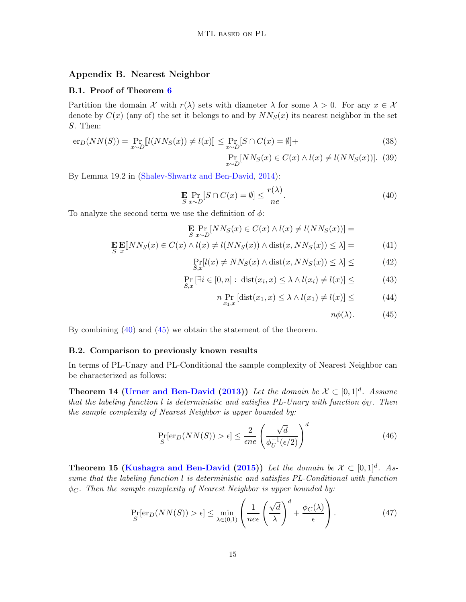# Appendix B. Nearest Neighbor

#### <span id="page-14-0"></span>B.1. Proof of Theorem [6](#page-6-1)

Partition the domain X with  $r(\lambda)$  sets with diameter  $\lambda$  for some  $\lambda > 0$ . For any  $x \in \mathcal{X}$ denote by  $C(x)$  (any of) the set it belongs to and by  $NN<sub>S</sub>(x)$  its nearest neighbor in the set S. Then:

$$
\mathrm{er}_D(NN(S)) = \Pr_{x \sim D} [l(NN_S(x)) \neq l(x)] \leq \Pr_{x \sim D} [S \cap C(x) = \emptyset] +
$$
\n(38)

$$
\Pr_{x \sim D} [NN_S(x) \in C(x) \land l(x) \neq l(NN_S(x))].
$$
 (39)

By Lemma 19.2 in [\(Shalev-Shwartz and Ben-David,](#page-12-16) [2014\)](#page-12-16):

<span id="page-14-4"></span>
$$
\mathbf{E} \Pr_{S \ x \sim D} [S \cap C(x) = \emptyset] \le \frac{r(\lambda)}{ne}.
$$
\n(40)

To analyze the second term we use the definition of  $\phi$ :

$$
\mathbf{E} \underset{S}{\text{Pr}} \left[ NN_S(x) \in C(x) \land l(x) \neq l(NN_S(x)) \right] =
$$
\n
$$
\mathbf{E} \underset{x}{\text{E}} \mathbf{E}[NN_S(x) \in C(x) \land l(x) \neq l(NN_S(x)) \land \text{dist}(x, NN_S(x)) \leq \lambda] =
$$
\n(41)

$$
\Pr_{S,x}[l(x) \neq NN_S(x) \land \text{dist}(x, NN_S(x)) \leq \lambda] \leq (42)
$$

$$
\Pr_{S,x} \left[ \exists i \in [0,n] : \text{ dist}(x_i, x) \le \lambda \wedge l(x_i) \ne l(x) \right] \le (43)
$$

$$
n \Pr_{x_1, x} \left[ \text{dist}(x_1, x) \le \lambda \wedge l(x_1) \ne l(x) \right] \le \tag{44}
$$

<span id="page-14-5"></span>
$$
n\phi(\lambda). \hspace{1cm} (45)
$$

By combining [\(40\)](#page-14-4) and [\(45\)](#page-14-5) we obtain the statement of the theorem.

#### <span id="page-14-1"></span>B.2. Comparison to previously known results

In terms of PL-Unary and PL-Conditional the sample complexity of Nearest Neighbor can be characterized as follows:

**Theorem 14 [\(Urner and Ben-David](#page-12-13) [\(2013\)](#page-12-13))** Let the domain be  $\mathcal{X} \subset [0,1]^d$ . Assume that the labeling function l is deterministic and satisfies PL-Unary with function  $\phi_{U}$ . Then the sample complexity of Nearest Neighbor is upper bounded by:

<span id="page-14-3"></span>
$$
\Pr_{S}[\text{er}_D(NN(S)) > \epsilon] \le \frac{2}{\epsilon n e} \left(\frac{\sqrt{d}}{\phi_U^{-1}(\epsilon/2)}\right)^d \tag{46}
$$

**Theorem 15 [\(Kushagra and Ben-David](#page-12-12) [\(2015\)](#page-12-12))** Let the domain be  $\mathcal{X} \subset [0,1]^d$ . Assume that the labeling function l is deterministic and satisfies PL-Conditional with function  $\phi_C$ . Then the sample complexity of Nearest Neighbor is upper bounded by:

 $\overline{1}$ 

<span id="page-14-2"></span>
$$
\Pr_{S}[\text{er}_D(NN(S)) > \epsilon] \le \min_{\lambda \in (0,1)} \left( \frac{1}{n e \epsilon} \left( \frac{\sqrt{d}}{\lambda} \right)^d + \frac{\phi_C(\lambda)}{\epsilon} \right). \tag{47}
$$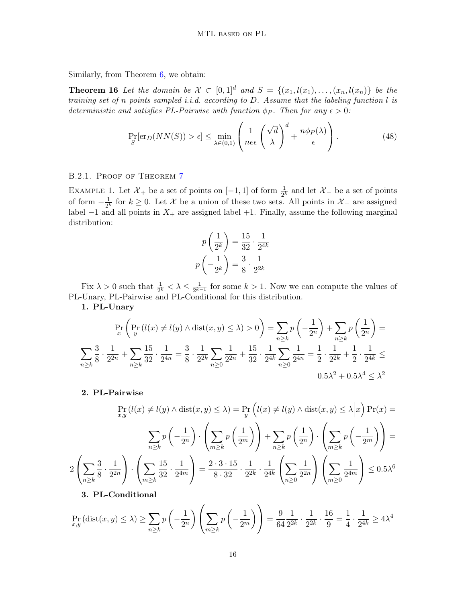Similarly, from Theorem [6,](#page-6-1) we obtain:

**Theorem 16** Let the domain be  $\mathcal{X} \subset [0,1]^d$  and  $S = \{(x_1, l(x_1), \ldots, (x_n, l(x_n))\}$  be the training set of n points sampled *i.i.d.* according to D. Assume that the labeling function  $l$  is deterministic and satisfies PL-Pairwise with function  $\phi_P$ . Then for any  $\epsilon > 0$ :

$$
\Pr_{S}[\text{er}_D(NN(S)) > \epsilon] \le \min_{\lambda \in (0,1)} \left( \frac{1}{n e \epsilon} \left( \frac{\sqrt{d}}{\lambda} \right)^d + \frac{n \phi_P(\lambda)}{\epsilon} \right). \tag{48}
$$

### <span id="page-15-0"></span>B.2.1. PROOF OF THEOREM [7](#page-7-0)

EXAMPLE 1. Let  $\mathcal{X}_+$  be a set of points on  $[-1,1]$  of form  $\frac{1}{2^k}$  and let  $\mathcal{X}_-$  be a set of points of form  $-\frac{1}{2k}$  $\frac{1}{2^k}$  for  $k \geq 0$ . Let X be a union of these two sets. All points in  $\mathcal{X}_-$  are assigned label  $-1$  and all points in  $X_+$  are assigned label  $+1$ . Finally, assume the following marginal distribution:

$$
p\left(\frac{1}{2^k}\right) = \frac{15}{32} \cdot \frac{1}{2^{4k}}
$$

$$
p\left(-\frac{1}{2^k}\right) = \frac{3}{8} \cdot \frac{1}{2^{2k}}
$$

Fix  $\lambda > 0$  such that  $\frac{1}{2^k} < \lambda \leq \frac{1}{2^{k-1}}$  $\frac{1}{2^{k-1}}$  for some  $k > 1$ . Now we can compute the values of PL-Unary, PL-Pairwise and PL-Conditional for this distribution.

1. PL-Unary

$$
\Pr_{x} \left( \Pr_{y} \left( l(x) \neq l(y) \land \text{dist}(x, y) \leq \lambda \right) > 0 \right) = \sum_{n \geq k} p \left( -\frac{1}{2^n} \right) + \sum_{n \geq k} p \left( \frac{1}{2^n} \right) =
$$
\n
$$
\sum_{n \geq k} \frac{3}{8} \cdot \frac{1}{2^{2n}} + \sum_{n \geq k} \frac{15}{32} \cdot \frac{1}{2^{4n}} = \frac{3}{8} \cdot \frac{1}{2^{2k}} \sum_{n \geq 0} \frac{1}{2^{2n}} + \frac{15}{32} \cdot \frac{1}{2^{4k}} \sum_{n \geq 0} \frac{1}{2^{4n}} = \frac{1}{2} \cdot \frac{1}{2^{2k}} + \frac{1}{2} \cdot \frac{1}{2^{4k}} \leq 0.5 \lambda^2 + 0.5 \lambda^4 \leq \lambda^2
$$

### 2. PL-Pairwise

$$
\Pr_{x,y}(l(x) \neq l(y) \land \text{dist}(x, y) \leq \lambda) = \Pr_{y}\left(l(x) \neq l(y) \land \text{dist}(x, y) \leq \lambda \middle| x\right) \Pr(x) =
$$
\n
$$
\sum_{n \geq k} p\left(-\frac{1}{2^n}\right) \cdot \left(\sum_{m \geq k} p\left(\frac{1}{2^m}\right)\right) + \sum_{n \geq k} p\left(\frac{1}{2^n}\right) \cdot \left(\sum_{m \geq k} p\left(-\frac{1}{2^m}\right)\right) =
$$
\n
$$
2\left(\sum_{n \geq k} \frac{3}{8} \cdot \frac{1}{2^{2n}}\right) \cdot \left(\sum_{m \geq k} \frac{15}{32} \cdot \frac{1}{2^{4m}}\right) = \frac{2 \cdot 3 \cdot 15}{8 \cdot 32} \cdot \frac{1}{2^{2k}} \cdot \frac{1}{2^{4k}} \left(\sum_{n \geq 0} \frac{1}{2^{2n}}\right) \left(\sum_{m \geq 0} \frac{1}{2^{4m}}\right) \leq 0.5\lambda^6
$$
\n2. PI. Cordifferential

3. PL-Conditional

$$
\Pr_{x,y} (\text{dist}(x,y) \le \lambda) \ge \sum_{n \ge k} p \left( -\frac{1}{2^n} \right) \left( \sum_{m \ge k} p \left( -\frac{1}{2^m} \right) \right) = \frac{9}{64} \frac{1}{2^{2k}} \cdot \frac{1}{2^{2k}} \cdot \frac{16}{9} = \frac{1}{4} \cdot \frac{1}{2^{4k}} \ge 4\lambda^4
$$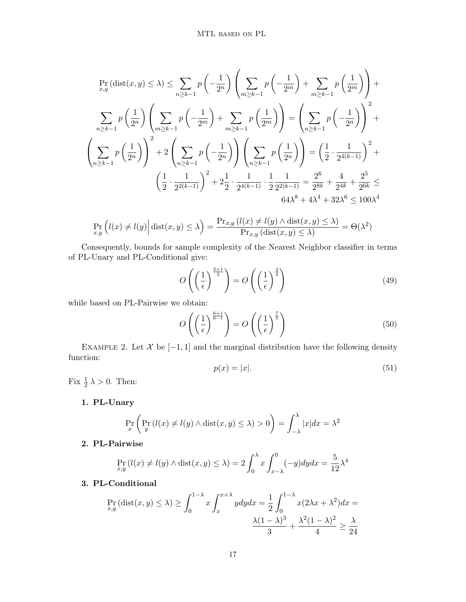$$
\Pr_{x,y}(\text{dist}(x,y) \le \lambda) \le \sum_{n \ge k-1} p\left(-\frac{1}{2^n}\right) \left(\sum_{m \ge k-1} p\left(-\frac{1}{2^m}\right) + \sum_{m \ge k-1} p\left(\frac{1}{2^m}\right)\right) + \sum_{n \ge k-1} p\left(\frac{1}{2^n}\right) \left(\sum_{m \ge k-1} p\left(-\frac{1}{2^m}\right) + \sum_{m \ge k-1} p\left(\frac{1}{2^m}\right)\right) \right) = \left(\sum_{n \ge k-1} p\left(-\frac{1}{2^n}\right)\right)^2 + \left(\sum_{n \ge k-1} p\left(-\frac{1}{2^n}\right)\right)^2 + 2\left(\sum_{n \ge k-1} p\left(-\frac{1}{2^n}\right)\right) \left(\sum_{n \ge k-1} p\left(\frac{1}{2^n}\right)\right) = \left(\frac{1}{2} \cdot \frac{1}{2^{4(k-1)}}\right)^2 + \left(\frac{1}{2} \cdot \frac{1}{2^{2(k-1)}}\right)^2 + 2\frac{1}{2} \cdot \frac{1}{2^{4(k-1)}} \cdot \frac{1}{2} \frac{1}{2^{2(k-1)}} = \frac{2^6}{2^{8k}} + \frac{4}{2^{4k}} + \frac{2^5}{2^{6k}} \le 64\lambda^8 + 4\lambda^4 + 32\lambda^6 \le 100\lambda^4
$$

$$
\Pr_{x,y}\left(l(x) \neq l(y)\middle| \text{dist}(x,y) \leq \lambda\right) = \frac{\Pr_{x,y}\left(l(x) \neq l(y) \land \text{dist}(x,y) \leq \lambda\right)}{\Pr_{x,y}\left(\text{dist}(x,y) \leq \lambda\right)} = \Theta(\lambda^2)
$$

Consequently, bounds for sample complexity of the Nearest Neighbor classifier in terms of PL-Unary and PL-Conditional give:

$$
O\left(\left(\frac{1}{\epsilon}\right)^{\frac{2+1}{2}}\right) = O\left(\left(\frac{1}{\epsilon}\right)^{\frac{3}{2}}\right)
$$
\n(49)

while based on PL-Pairwise we obtain:

$$
O\left(\left(\frac{1}{\epsilon}\right)^{\frac{6+1}{6-1}}\right) = O\left(\left(\frac{1}{\epsilon}\right)^{\frac{7}{5}}\right)
$$
\n(50)

EXAMPLE 2. Let  $\mathcal X$  be  $[-1,1]$  and the marginal distribution have the following density function:

$$
p(x) = |x|. \tag{51}
$$

Fix  $\frac{1}{2} \lambda > 0$ . Then:

1. PL-Unary

$$
\Pr_x \left( \Pr_y \left( l(x) \neq l(y) \land \text{dist}(x, y) \leq \lambda \right) > 0 \right) = \int_{-\lambda}^{\lambda} |x| dx = \lambda^2
$$

2. PL-Pairwise

$$
\Pr_{x,y} (l(x) \neq l(y) \land \text{dist}(x, y) \leq \lambda) = 2 \int_0^{\lambda} x \int_{x-\lambda}^0 (-y) dy dx = \frac{5}{12} \lambda^4
$$

# 3. PL-Conditional

$$
\Pr_{x,y} (\text{dist}(x, y) \le \lambda) \ge \int_0^{1-\lambda} x \int_x^{x+\lambda} y dy dx = \frac{1}{2} \int_0^{1-\lambda} x(2\lambda x + \lambda^2) dx = \frac{\lambda(1-\lambda)^3}{3} + \frac{\lambda^2(1-\lambda)^2}{4} \ge \frac{\lambda}{24}
$$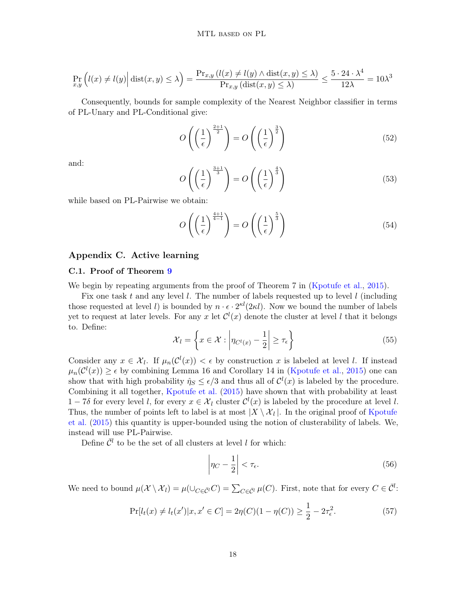$$
\Pr_{x,y}\left(l(x) \neq l(y)\middle| \text{dist}(x,y) \leq \lambda\right) = \frac{\Pr_{x,y}\left(l(x) \neq l(y) \land \text{dist}(x,y) \leq \lambda\right)}{\Pr_{x,y}\left(\text{dist}(x,y) \leq \lambda\right)} \leq \frac{5 \cdot 24 \cdot \lambda^4}{12\lambda} = 10\lambda^3
$$

Consequently, bounds for sample complexity of the Nearest Neighbor classifier in terms of PL-Unary and PL-Conditional give:

$$
O\left(\left(\frac{1}{\epsilon}\right)^{\frac{2+1}{2}}\right) = O\left(\left(\frac{1}{\epsilon}\right)^{\frac{3}{2}}\right)
$$
\n(52)

and:

$$
O\left(\left(\frac{1}{\epsilon}\right)^{\frac{3+1}{3}}\right) = O\left(\left(\frac{1}{\epsilon}\right)^{\frac{4}{3}}\right)
$$
\n3

\n5

\n5

while based on PL-Pairwise we obtain:

$$
O\left(\left(\frac{1}{\epsilon}\right)^{\frac{4+1}{4-1}}\right) = O\left(\left(\frac{1}{\epsilon}\right)^{\frac{5}{3}}\right)
$$
\n(54)

### <span id="page-17-0"></span>Appendix C. Active learning

### <span id="page-17-1"></span>C.1. Proof of Theorem [9](#page-9-0)

We begin by repeating arguments from the proof of Theorem 7 in [\(Kpotufe et al.,](#page-12-14) [2015\)](#page-12-14).

Fix one task t and any level l. The number of labels requested up to level l (including those requested at level l is bounded by  $n \cdot \epsilon \cdot 2^{\kappa l}(2\kappa l)$ . Now we bound the number of labels yet to request at later levels. For any x let  $\mathcal{C}^l(x)$  denote the cluster at level l that it belongs to. Define:

$$
\mathcal{X}_l = \left\{ x \in \mathcal{X} : \left| \eta_{C^l(x)} - \frac{1}{2} \right| \ge \tau_{\epsilon} \right\} \tag{55}
$$

Consider any  $x \in \mathcal{X}_l$ . If  $\mu_n(\mathcal{C}^l(x)) < \epsilon$  by construction x is labeled at level l. If instead  $\mu_n(\mathcal{C}^l(x)) \geq \epsilon$  by combining Lemma 16 and Corollary 14 in [\(Kpotufe et al.,](#page-12-14) [2015\)](#page-12-14) one can show that with high probability  $\hat{\eta}_S \leq \epsilon/3$  and thus all of  $\mathcal{C}^l(x)$  is labeled by the procedure. Combining it all together, [Kpotufe et al.](#page-12-14) [\(2015\)](#page-12-14) have shown that with probability at least  $1-7\delta$  for every level l, for every  $x \in \mathcal{X}_l$  cluster  $\mathcal{C}^l(x)$  is labeled by the procedure at level l. Thus, the number of points left to label is at most  $|X \setminus \mathcal{X}_l|$ . In the original proof of [Kpotufe](#page-12-14) [et al.](#page-12-14) [\(2015\)](#page-12-14) this quantity is upper-bounded using the notion of clusterability of labels. We, instead will use PL-Pairwise.

Define  $\overline{\mathcal{C}}^l$  to be the set of all clusters at level l for which:

$$
\left|\eta_C - \frac{1}{2}\right| < \tau_{\epsilon}.\tag{56}
$$

We need to bound  $\mu(\mathcal{X} \setminus \mathcal{X}_l) = \mu(\cup_{C \in \bar{\mathcal{C}}^l} C) = \sum_{C \in \bar{\mathcal{C}}^l} \mu(C)$ . First, note that for every  $C \in \bar{\mathcal{C}}^l$ :

$$
\Pr[l_t(x) \neq l_t(x') | x, x' \in C] = 2\eta(C)(1 - \eta(C)) \ge \frac{1}{2} - 2\tau_{\epsilon}^2.
$$
\n<sup>(57)</sup>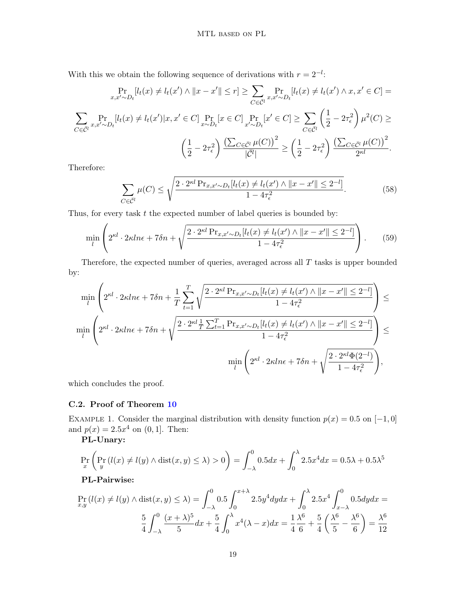With this we obtain the following sequence of derivations with  $r = 2^{-l}$ .

$$
\Pr_{x,x'\sim D_t}[l_t(x) \neq l_t(x') \land ||x - x'|| \leq r] \geq \sum_{C \in \bar{C}^l} \Pr_{x,x'\sim D_t}[l_t(x) \neq l_t(x') \land x, x' \in C] =
$$
\n
$$
\sum_{C \in \bar{C}^l} \Pr_{x,x'\sim D_t}[l_t(x) \neq l_t(x')|x, x' \in C] \Pr_{x\sim D_t}[x \in C] \Pr_{x'\sim D_t}[x' \in C] \geq \sum_{C \in \bar{C}^l} \left(\frac{1}{2} - 2\tau_{\epsilon}^2\right) \mu^2(C) \geq
$$
\n
$$
\left(\frac{1}{2} - 2\tau_{\epsilon}^2\right) \frac{\left(\sum_{C \in \bar{C}^l} \mu(C)\right)^2}{|\bar{C}^l|} \geq \left(\frac{1}{2} - 2\tau_{\epsilon}^2\right) \frac{\left(\sum_{C \in \bar{C}^l} \mu(C)\right)^2}{2^{\kappa l}}.
$$

Therefore:

$$
\sum_{C \in \bar{C}^l} \mu(C) \le \sqrt{\frac{2 \cdot 2^{\kappa l} \Pr_{x, x' \sim D_t}[l_t(x) \ne l_t(x') \land ||x - x'|| \le 2^{-l}]}{1 - 4\tau_{\epsilon}^2}}.
$$
(58)

Thus, for every task  $t$  the expected number of label queries is bounded by:

$$
\min_{l} \left( 2^{\kappa l} \cdot 2\kappa ln \epsilon + 7\delta n + \sqrt{\frac{2 \cdot 2^{\kappa l} \Pr_{x, x' \sim D_t}[l_t(x) \neq l_t(x') \land ||x - x'|| \leq 2^{-l}]}{1 - 4\tau_{\epsilon}^2}} \right). \tag{59}
$$

Therefore, the expected number of queries, averaged across all  $T$  tasks is upper bounded by:

$$
\min_{l} \left( 2^{\kappa l} \cdot 2\kappa ln \epsilon + 7\delta n + \frac{1}{T} \sum_{t=1}^{T} \sqrt{\frac{2 \cdot 2^{\kappa l} \Pr_{x,x' \sim D_t}[l_t(x) \neq l_t(x') \land ||x - x'|| \leq 2^{-l}]}{1 - 4\tau_{\epsilon}^2}} \right) \leq
$$
\n
$$
\min_{l} \left( 2^{\kappa l} \cdot 2\kappa ln \epsilon + 7\delta n + \sqrt{\frac{2 \cdot 2^{\kappa l} \frac{1}{T} \sum_{t=1}^{T} \Pr_{x,x' \sim D_t}[l_t(x) \neq l_t(x') \land ||x - x'|| \leq 2^{-l}]}{1 - 4\tau_{\epsilon}^2}} \right) \leq
$$
\n
$$
\min_{l} \left( 2^{\kappa l} \cdot 2\kappa ln \epsilon + 7\delta n + \sqrt{\frac{2 \cdot 2^{\kappa l} \Phi(2^{-l})}{1 - 4\tau_{\epsilon}^2}} \right),
$$

which concludes the proof.

### <span id="page-18-0"></span>C.2. Proof of Theorem [10](#page-9-2)

EXAMPLE 1. Consider the marginal distribution with density function  $p(x) = 0.5$  on  $[-1, 0]$ and  $p(x) = 2.5x^4$  on  $(0, 1]$ . Then:

PL-Unary:

$$
\Pr_x \left( \Pr_y \left( l(x) \neq l(y) \land \text{dist}(x, y) \leq \lambda \right) > 0 \right) = \int_{-\lambda}^0 0.5 dx + \int_0^{\lambda} 2.5x^4 dx = 0.5\lambda + 0.5\lambda^5
$$

# PL-Pairwise:

$$
\Pr_{x,y}(l(x) \neq l(y) \land \text{dist}(x,y) \leq \lambda) = \int_{-\lambda}^{0} 0.5 \int_{0}^{x+\lambda} 2.5y^4 dy dx + \int_{0}^{\lambda} 2.5x^4 \int_{x-\lambda}^{0} 0.5dy dx =
$$

$$
\frac{5}{4} \int_{-\lambda}^{0} \frac{(x+\lambda)^5}{5} dx + \frac{5}{4} \int_{0}^{\lambda} x^4 (\lambda - x) dx = \frac{1}{4} \frac{\lambda^6}{6} + \frac{5}{4} \left( \frac{\lambda^6}{5} - \frac{\lambda^6}{6} \right) = \frac{\lambda^6}{12}
$$